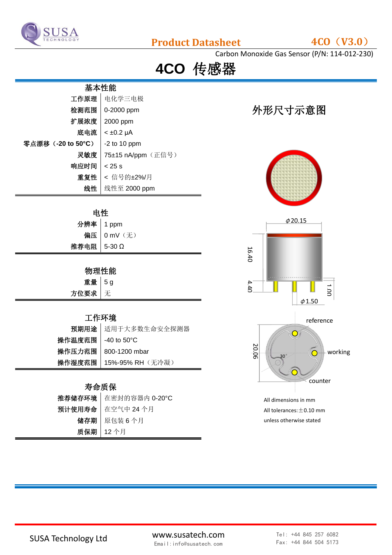

## **Product Datasheet 4CO**(**V3.0**)

Carbon Monoxide Gas Sensor (P/N: 114-012-230)

**4CO** 传感器

| 基本性能               |                    |  |
|--------------------|--------------------|--|
| 工作原理               | 电化学三电极             |  |
| 检测范围               | 0-2000 ppm         |  |
| 扩展浓度               | 2000 ppm           |  |
| 底电流                | $< \pm 0.2$ µA     |  |
| 零点漂移 (-20 to 50°C) | $-2$ to 10 ppm     |  |
| 灵敏度                | 75±15 nA/ppm (正信号) |  |
| 响应时间               | $< 25$ s           |  |
| 重复性                | < 信号的±2%/月         |  |
| 线性                 | 线性至 2000 ppm       |  |

#### 电性

|             | <b>分辨率 │1 ppm</b><br>偏压 │0 mV(无) |
|-------------|----------------------------------|
|             |                                  |
| 推荐电阻 5-30 Ω |                                  |
|             |                                  |

#### 物理性能

| 重量    | d<br>-5 |
|-------|---------|
| 方位要求丨 | ⊹       |

### 工作环境

|                     | 预期用途 适用于大多数生命安全探测器        |
|---------------------|---------------------------|
| 操作温度范围   -40 to 50℃ |                           |
|                     | 操作压力范围   800-1200 mbar    |
|                     | 操作湿度范围   15%-95% RH (无冷凝) |

### 寿命质保

| 推荐储存环境 在密封的容器内 0-20°C |
|-----------------------|
| 预计使用寿命 在空气中 24 个月     |
| 储存期 原包装6个月            |
| 质保期 12个月              |

# 外形尺寸示意图





All dimensions in mm All tolerances:  $\pm$  0.10 mm unless otherwise stated

SUSA Technology Ltd www.susatech.com Email:info@susatech.com

Tel: +44 845 257 6082 Fax: +44 844 504 5173